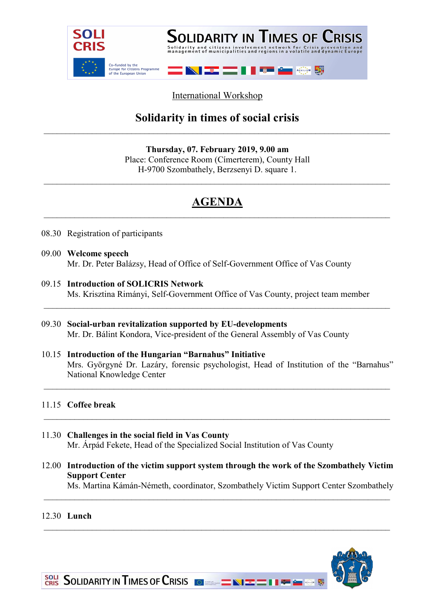

### International Workshop

## Solidarity in times of social crisis

Thursday, 07. February 2019, 9.00 am Place: Conference Room (Címerterem), County Hall H-9700 Szombathely, Berzsenyi D. square 1.

# AGENDA

- 08.30 Registration of participants
- 09.00 Welcome speech Mr. Dr. Peter Balázsy, Head of Office of Self-Government Office of Vas County
- 09.15 Introduction of SOLICRIS Network Ms. Krisztina Rimányi, Self-Government Office of Vas County, project team member
- 09.30 Social-urban revitalization supported by EU-developments Mr. Dr. Bálint Kondora, Vice-president of the General Assembly of Vas County
- 10.15 Introduction of the Hungarian "Barnahus" Initiative Mrs. Györgyné Dr. Lazáry, forensic psychologist, Head of Institution of the "Barnahus" National Knowledge Center

#### 11.15 Coffee break

- 11.30 Challenges in the social field in Vas County Mr. Árpád Fekete, Head of the Specialized Social Institution of Vas County
- 12.00 Introduction of the victim support system through the work of the Szombathely Victim Support Center

\_\_\_\_\_\_\_\_\_\_\_\_\_\_\_\_\_\_\_\_\_\_\_\_\_\_\_\_\_\_\_\_\_\_\_\_\_\_\_\_\_\_\_\_\_\_\_\_\_\_\_\_\_\_\_\_\_\_\_\_\_\_\_\_\_\_\_\_\_\_\_\_\_\_\_\_\_\_\_

Ms. Martina Kámán-Németh, coordinator, Szombathely Victim Support Center Szombathely

#### 12.30 Lunch



SOLI SOLIDARITY IN TIMES OF CRISIS **OF ALL AND THE REAL AND SOLIDARITY** IN THE CONSTRUCTION OF